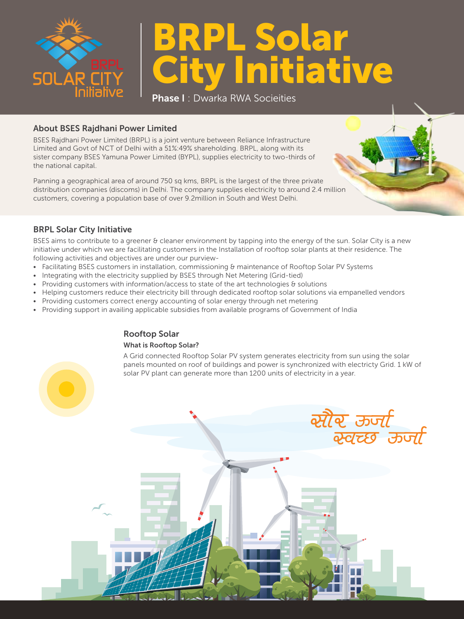

# BRPL Solar tiati

**Phase I**: Dwarka RWA Socieities

## About BSES Rajdhani Power Limited

BSES Rajdhani Power Limited (BRPL) is a joint venture between Reliance Infrastructure Limited and Govt of NCT of Delhi with a 51%:49% shareholding. BRPL, along with its sister company BSES Yamuna Power Limited (BYPL), supplies electricity to two-thirds of the national capital.

Panning a geographical area of around 750 sq kms, BRPL is the largest of the three private distribution companies (discoms) in Delhi. The company supplies electricity to around 2.4 million customers, covering a population base of over 9.2million in South and West Delhi.

### BRPL Solar City Initiative

BSES aims to contribute to a greener & cleaner environment by tapping into the energy of the sun. Solar City is a new initiative under which we are facilitating customers in the Installation of rooftop solar plants at their residence. The following activities and objectives are under our purview-

- Facilitating BSES customers in installation, commissioning & maintenance of Rooftop Solar PV Systems
- Integrating with the electricity supplied by BSES through Net Metering (Grid-tied)
- Providing customers with information/access to state of the art technologies & solutions
- Helping customers reduce their electricity bill through dedicated rooftop solar solutions via empanelled vendors
- Providing customers correct energy accounting of solar energy through net metering
- Providing support in availing applicable subsidies from available programs of Government of India

## Rooftop Solar

#### What is Rooftop Solar?

A Grid connected Rooftop Solar PV system generates electricity from sun using the solar panels mounted on roof of buildings and power is synchronized with electricty Grid. 1 kW of solar PV plant can generate more than 1200 units of electricity in a year.

स्रोर कर्जा<br>*स्वच्छ कर्जा*